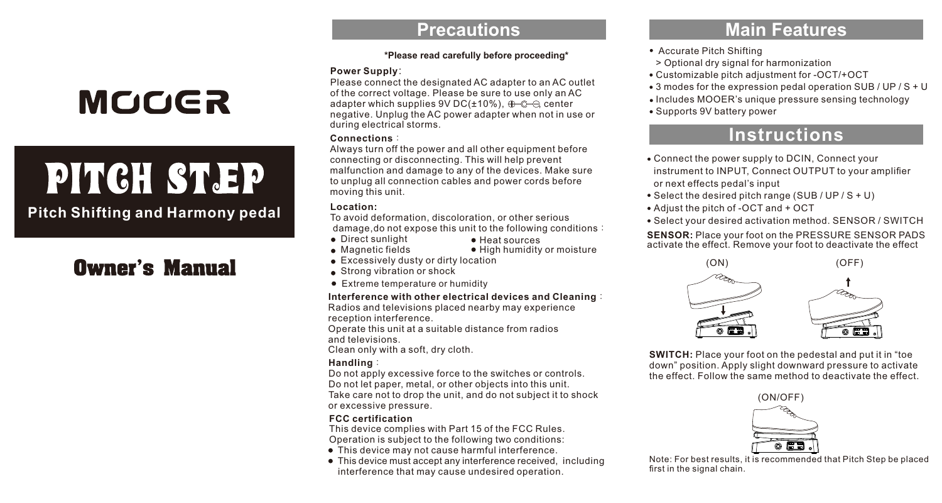## **MOOER**

# PITCH ST.EP

**Pitch Shifting and Harmony pedal**

## **Owner's Manual**

### **Precautions**

#### **\*Please read carefully before proceeding\***

#### **Power Supply**:

Please connect the designated AC adapter to an AC outlet of the correct voltage. Please be sure to use only an AC adapter which supplies  $9VDC(\pm 10\%)$ ,  $\bigoplus Q \bigoplus$  center negative. Unplug the AC power adapter when not in use or during electrical storms.

#### **Connections**:

Always turn off the power and all other equipment before connecting or disconnecting. This will help prevent malfunction and damage to any of the devices. Make sure to unplug all connection cables and power cords before moving this unit.

#### **Location:**

To avoid deformation, discoloration, or other serious damage,do not expose this unit to the following conditions:

Heat sources

- **•** Direct sunlight **Magnetic fields** 
	- · High humidity or moisture
- **Excessively dusty or dirty location**
- **Strong vibration or shock**
- Extreme temperature or humidity

#### **Interference with other electrical devices and Cleaning**:

Radios and televisions placed nearby may experience reception interference.

Operate this unit at a suitable distance from radios and televisions.

Clean only with a soft, dry cloth.

#### **Handling**:

Do not apply excessive force to the switches or controls. Do not let paper, metal, or other objects into this unit. Take care not to drop the unit, and do not subject it to shock or excessive pressure.

#### **FCC certification**

This device complies with Part 15 of the FCC Rules. Operation is subject to the following two conditions:

- This device may not cause harmful interference.
- This device must accept any interference received, including interference that may cause undesired operation.

## **Main Features**

- Accurate Pitch Shifting
- > Optional dry signal for harmonization
- Customizable pitch adjustment for -OCT/+OCT
- 3 modes for the expression pedal operation SUB / UP / S + U
- Includes MOOER's unique pressure sensing technology
- Supports 9V battery power

## **Instructions**

- Connect the power supply to DCIN, Connect your instrument to INPUT, Connect OUTPUT to your amplifier or next effects pedal's input
- Select the desired pitch range (SUB / UP / S + U)
- Adjust the pitch of -OCT and + OCT
- Select your desired activation method. SENSOR / SWITCH

**SENSOR:** Place your foot on the PRESSURE SENSOR PADS activate the effect. Remove your foot to deactivate the effect



**SWITCH:** Place your foot on the pedestal and put it in "toe down" position. Apply slight downward pressure to activate the effect. Follow the same method to deactivate the effect.



Note: For best results, it is recommended that Pitch Step be placed first in the signal chain.